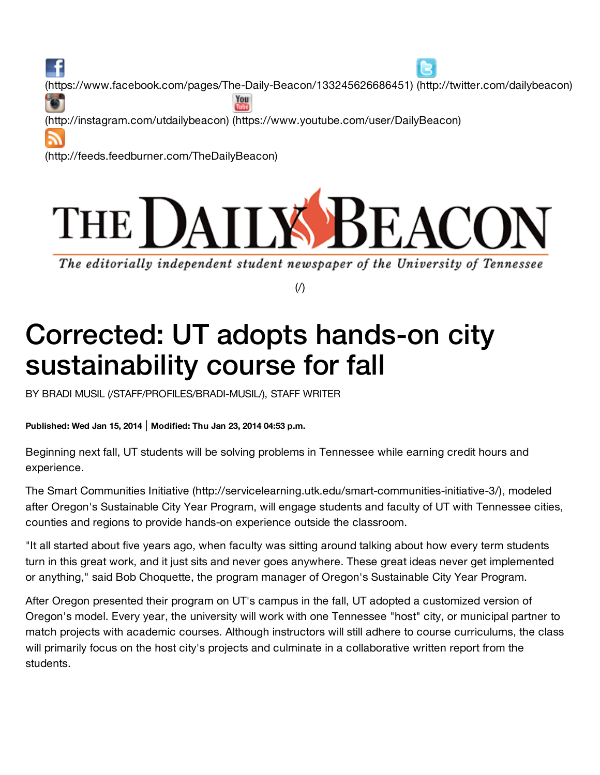£ [\(https://www.facebook.com/pages/The-Daily-Beacon/133245626686451\)](https://www.facebook.com/pages/The-Daily-Beacon/133245626686451) [\(http://twitter.com/dailybeacon\)](http://twitter.com/dailybeacon) You [\(http://instagram.com/utdailybeacon\)](http://instagram.com/utdailybeacon) [\(https://www.youtube.com/user/DailyBeacon\)](https://www.youtube.com/user/DailyBeacon) [\(http://feeds.feedburner.com/TheDailyBeacon\)](http://feeds.feedburner.com/TheDailyBeacon)



The editorially independent student newspaper of the University of Tennessee

 $($  $/$  $)$ 

# Corrected: UT adopts hands-on city sustainability course for fall

BY BRADI MUSIL [\(/STAFF/PROFILES/BRADI-MUSIL/\)](http://utdailybeacon.com/staff/profiles/bradi-musil/), STAFF WRITER

**Published: Wed Jan 15, 2014** | **Modified: Thu Jan 23, 2014 04:53 p.m.**

Beginning next fall, UT students will be solving problems in Tennessee while earning credit hours and experience.

The Smart Communities Initiative [\(http://servicelearning.utk.edu/smart-communities-initiative-3/\),](http://servicelearning.utk.edu/smart-communities-initiative-3/) modeled after Oregon's Sustainable City Year Program, will engage students and faculty of UT with Tennessee cities, counties and regions to provide hands-on experience outside the classroom.

"It all started about five years ago, when faculty was sitting around talking about how every term students turn in this great work, and it just sits and never goes anywhere. These great ideas never get implemented or anything," said Bob Choquette, the program manager of Oregon's Sustainable City Year Program.

After Oregon presented their program on UT's campus in the fall, UT adopted a customized version of Oregon's model. Every year, the university will work with one Tennessee "host" city, or municipal partner to match projects with academic courses. Although instructors will still adhere to course curriculums, the class will primarily focus on the host city's projects and culminate in a collaborative written report from the students.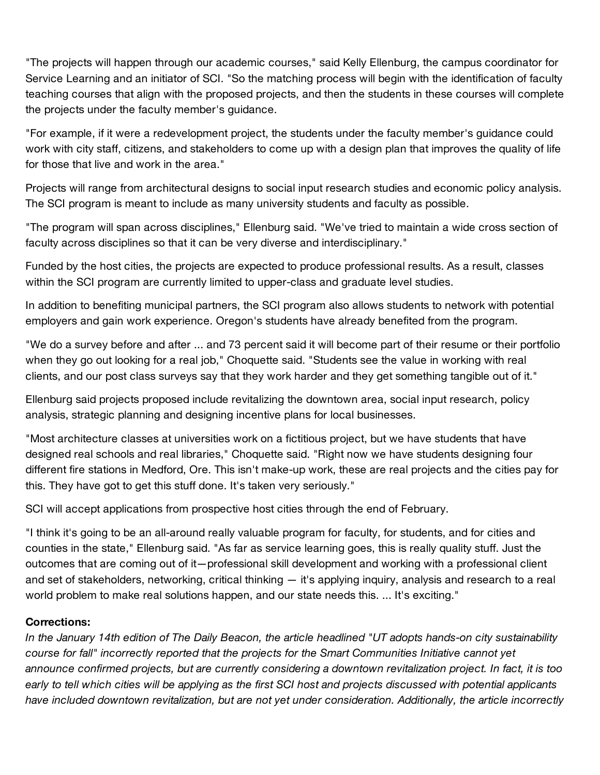"The projects will happen through our academic courses," said Kelly Ellenburg, the campus coordinator for Service Learning and an initiator of SCI. "So the matching process will begin with the identification of faculty teaching courses that align with the proposed projects, and then the students in these courses will complete the projects under the faculty member's guidance.

"For example, if it were a redevelopment project, the students under the faculty member's guidance could work with city staff, citizens, and stakeholders to come up with a design plan that improves the quality of life for those that live and work in the area."

Projects will range from architectural designs to social input research studies and economic policy analysis. The SCI program is meant to include as many university students and faculty as possible.

"The program will span across disciplines," Ellenburg said. "We've tried to maintain a wide cross section of faculty across disciplines so that it can be very diverse and interdisciplinary."

Funded by the host cities, the projects are expected to produce professional results. As a result, classes within the SCI program are currently limited to upper-class and graduate level studies.

In addition to benefiting municipal partners, the SCI program also allows students to network with potential employers and gain work experience. Oregon's students have already benefited from the program.

"We do a survey before and after ... and 73 percent said it will become part of their resume or their portfolio when they go out looking for a real job," Choquette said. "Students see the value in working with real clients, and our post class surveys say that they work harder and they get something tangible out of it."

Ellenburg said projects proposed include revitalizing the downtown area, social input research, policy analysis, strategic planning and designing incentive plans for local businesses.

"Most architecture classes at universities work on a fictitious project, but we have students that have designed real schools and real libraries," Choquette said. "Right now we have students designing four different fire stations in Medford, Ore. This isn't make-up work, these are real projects and the cities pay for this. They have got to get this stuff done. It's taken very seriously."

SCI will accept applications from prospective host cities through the end of February.

"I think it's going to be an all-around really valuable program for faculty, for students, and for cities and counties in the state," Ellenburg said. "As far as service learning goes, this is really quality stuff. Just the outcomes that are coming out of it—professional skill development and working with a professional client and set of stakeholders, networking, critical thinking — it's applying inquiry, analysis and research to a real world problem to make real solutions happen, and our state needs this. ... It's exciting."

## **Corrections:**

In the January 14th edition of The Daily Beacon, the article headlined "UT adopts hands-on city sustainability *course for fall" incorrectly reported that the projects for the Smart Communities Initiative cannot yet announce confirmed projects, but are currently considering a downtown revitalization project. In fact, it is too* early to tell which cities will be applying as the first SCI host and projects discussed with potential applicants *have included downtown revitalization, but are not yet under consideration. Additionally, the article incorrectly*